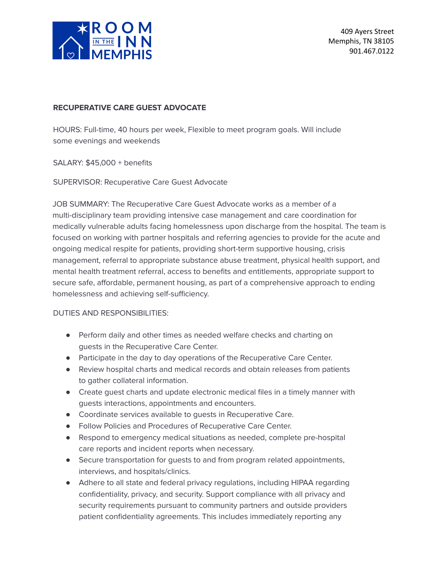

409 Ayers Street Memphis, TN 38105 901.467.0122

#### **RECUPERATIVE CARE GUEST ADVOCATE**

HOURS: Full-time, 40 hours per week, Flexible to meet program goals. Will include some evenings and weekends

SALARY: \$45,000 + benefits

SUPERVISOR: Recuperative Care Guest Advocate

JOB SUMMARY: The Recuperative Care Guest Advocate works as a member of a multi-disciplinary team providing intensive case management and care coordination for medically vulnerable adults facing homelessness upon discharge from the hospital. The team is focused on working with partner hospitals and referring agencies to provide for the acute and ongoing medical respite for patients, providing short-term supportive housing, crisis management, referral to appropriate substance abuse treatment, physical health support, and mental health treatment referral, access to benefits and entitlements, appropriate support to secure safe, affordable, permanent housing, as part of a comprehensive approach to ending homelessness and achieving self-sufficiency.

## DUTIES AND RESPONSIBILITIES:

- Perform daily and other times as needed welfare checks and charting on guests in the Recuperative Care Center.
- Participate in the day to day operations of the Recuperative Care Center.
- Review hospital charts and medical records and obtain releases from patients to gather collateral information.
- Create guest charts and update electronic medical files in a timely manner with guests interactions, appointments and encounters.
- Coordinate services available to guests in Recuperative Care.
- Follow Policies and Procedures of Recuperative Care Center.
- Respond to emergency medical situations as needed, complete pre-hospital care reports and incident reports when necessary.
- Secure transportation for guests to and from program related appointments, interviews, and hospitals/clinics.
- Adhere to all state and federal privacy regulations, including HIPAA regarding confidentiality, privacy, and security. Support compliance with all privacy and security requirements pursuant to community partners and outside providers patient confidentiality agreements. This includes immediately reporting any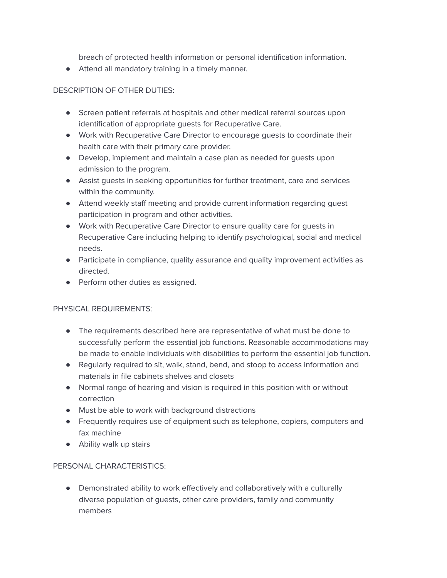breach of protected health information or personal identification information.

● Attend all mandatory training in a timely manner.

# DESCRIPTION OF OTHER DUTIES:

- Screen patient referrals at hospitals and other medical referral sources upon identification of appropriate guests for Recuperative Care.
- Work with Recuperative Care Director to encourage guests to coordinate their health care with their primary care provider.
- Develop, implement and maintain a case plan as needed for guests upon admission to the program.
- Assist guests in seeking opportunities for further treatment, care and services within the community.
- Attend weekly staff meeting and provide current information regarding guest participation in program and other activities.
- Work with Recuperative Care Director to ensure quality care for guests in Recuperative Care including helping to identify psychological, social and medical needs.
- Participate in compliance, quality assurance and quality improvement activities as directed.
- Perform other duties as assigned.

## PHYSICAL REQUIREMENTS:

- The requirements described here are representative of what must be done to successfully perform the essential job functions. Reasonable accommodations may be made to enable individuals with disabilities to perform the essential job function.
- Regularly required to sit, walk, stand, bend, and stoop to access information and materials in file cabinets shelves and closets
- Normal range of hearing and vision is required in this position with or without correction
- Must be able to work with background distractions
- Frequently requires use of equipment such as telephone, copiers, computers and fax machine
- Ability walk up stairs

## PERSONAL CHARACTERISTICS:

● Demonstrated ability to work effectively and collaboratively with a culturally diverse population of guests, other care providers, family and community members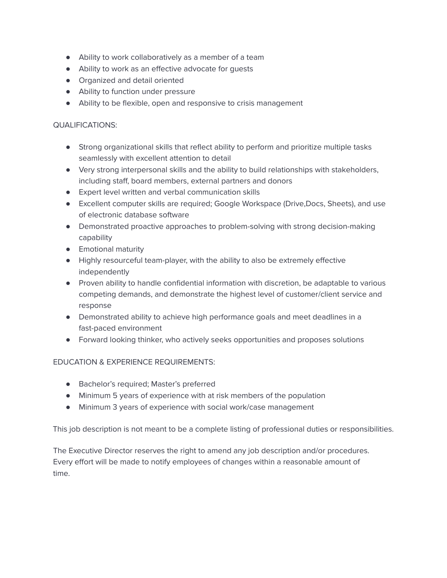- Ability to work collaboratively as a member of a team
- Ability to work as an effective advocate for guests
- Organized and detail oriented
- Ability to function under pressure
- Ability to be flexible, open and responsive to crisis management

#### QUALIFICATIONS:

- Strong organizational skills that reflect ability to perform and prioritize multiple tasks seamlessly with excellent attention to detail
- Very strong interpersonal skills and the ability to build relationships with stakeholders, including staff, board members, external partners and donors
- Expert level written and verbal communication skills
- Excellent computer skills are required; Google Workspace (Drive,Docs, Sheets), and use of electronic database software
- Demonstrated proactive approaches to problem-solving with strong decision-making capability
- Emotional maturity
- Highly resourceful team-player, with the ability to also be extremely effective independently
- Proven ability to handle confidential information with discretion, be adaptable to various competing demands, and demonstrate the highest level of customer/client service and response
- Demonstrated ability to achieve high performance goals and meet deadlines in a fast-paced environment
- Forward looking thinker, who actively seeks opportunities and proposes solutions

## EDUCATION & EXPERIENCE REQUIREMENTS:

- Bachelor's required; Master's preferred
- Minimum 5 years of experience with at risk members of the population
- Minimum 3 years of experience with social work/case management

This job description is not meant to be a complete listing of professional duties or responsibilities.

The Executive Director reserves the right to amend any job description and/or procedures. Every effort will be made to notify employees of changes within a reasonable amount of time.